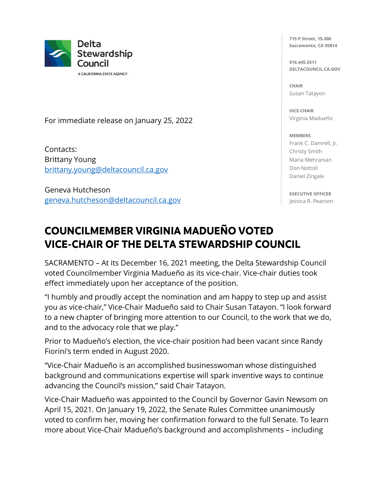

A CALIFORNIA STATE AGENCY

For immediate release on January 25, 2022

Contacts: Brittany Young [brittany.young@deltacouncil.ca.gov](mailto:brittany.young@deltacouncil.ca.gov) 

Geneva Hutcheson [geneva.hutcheson@deltacouncil.ca.gov](mailto:geneva.hutcheson@deltacouncil.ca.gov)  **715 P Street, 15-300 Sacramento, CA 95814**

**916.445.5511 DELTACOUNCIL.CA.GOV**

**CHAIR** Susan Tatayon

**VICE-CHAIR** Virginia Madueño

**MEMBERS** Frank C. Damrell, Jr. Christy Smith Maria Mehranian Don Nottoli Daniel Zingale

**EXECUTIVE OFFICER** Jessica R. Pearson

## **COUNCILMEMBER VIRGINIA MADUEÑO VOTED VICE-CHAIR OF THE DELTA STEWARDSHIP COUNCIL**

SACRAMENTO – At its December 16, 2021 meeting, the Delta Stewardship Council voted Councilmember Virginia Madueño as its vice-chair. Vice-chair duties took effect immediately upon her acceptance of the position.

"I humbly and proudly accept the nomination and am happy to step up and assist you as vice-chair," Vice-Chair Madueño said to Chair Susan Tatayon. "I look forward to a new chapter of bringing more attention to our Council, to the work that we do, and to the advocacy role that we play."

Prior to Madueño's election, the vice-chair position had been vacant since Randy Fiorini's term ended in August 2020.

"Vice-Chair Madueño is an accomplished businesswoman whose distinguished background and communications expertise will spark inventive ways to continue advancing the Council's mission," said Chair Tatayon.

Vice-Chair Madueño was appointed to the Council by Governor Gavin Newsom on April 15, 2021. On January 19, 2022, the Senate Rules Committee unanimously voted to confirm her, moving her confirmation forward to the full Senate. To learn more about Vice-Chair Madueño's background and accomplishments – including